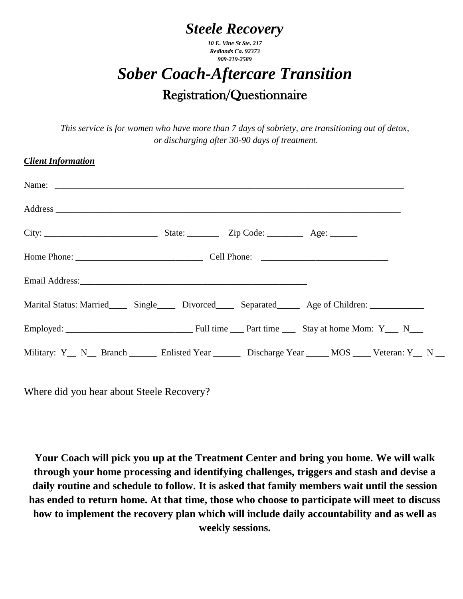## *Steele Recovery*

*10 E. Vine St Ste. 217 Redlands Ca. 92373 909-219-2589*

## *Sober Coach-Aftercare Transition* Registration/Questionnaire

*This service is for women who have more than 7 days of sobriety, are transitioning out of detox, or discharging after 30-90 days of treatment.*

## *Client Information*

| Marital Status: Married_______ Single_______ Divorced_______ Separated________ Age of Children: _____________ |  |  |
|---------------------------------------------------------------------------------------------------------------|--|--|
|                                                                                                               |  |  |
| Military: Y <sub>_</sub> N_ Branch ______ Enlisted Year ______ Discharge Year _____ MOS ____ Veteran: Y_ N __ |  |  |

Where did you hear about Steele Recovery?

**Your Coach will pick you up at the Treatment Center and bring you home. We will walk through your home processing and identifying challenges, triggers and stash and devise a daily routine and schedule to follow. It is asked that family members wait until the session has ended to return home. At that time, those who choose to participate will meet to discuss how to implement the recovery plan which will include daily accountability and as well as weekly sessions.**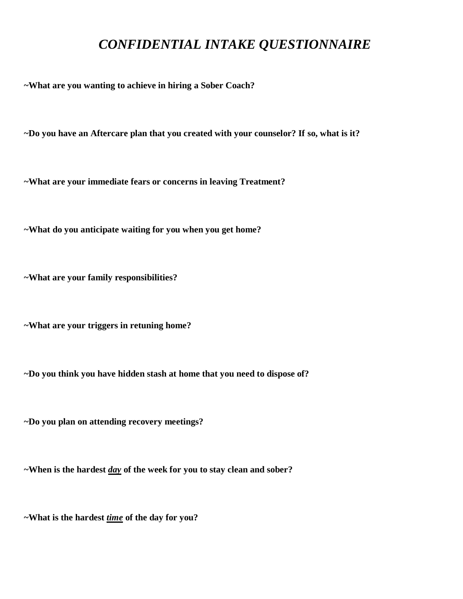## *CONFIDENTIAL INTAKE QUESTIONNAIRE*

**~What are you wanting to achieve in hiring a Sober Coach?** 

**~Do you have an Aftercare plan that you created with your counselor? If so, what is it?**

**~What are your immediate fears or concerns in leaving Treatment?**

**~What do you anticipate waiting for you when you get home?**

**~What are your family responsibilities?**

**~What are your triggers in retuning home?**

**~Do you think you have hidden stash at home that you need to dispose of?**

**~Do you plan on attending recovery meetings?**

**~When is the hardest** *day* **of the week for you to stay clean and sober?**

**~What is the hardest** *time* **of the day for you?**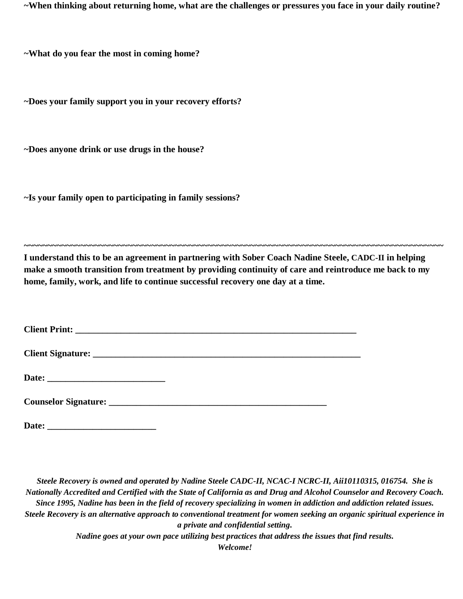**~When thinking about returning home, what are the challenges or pressures you face in your daily routine?**

**~What do you fear the most in coming home?**

**~Does your family support you in your recovery efforts?**

**~Does anyone drink or use drugs in the house?**

**~Is your family open to participating in family sessions?**

**I understand this to be an agreement in partnering with Sober Coach Nadine Steele, CADC-II in helping make a smooth transition from treatment by providing continuity of care and reintroduce me back to my home, family, work, and life to continue successful recovery one day at a time.**

**~~~~~~~~~~~~~~~~~~~~~~~~~~~~~~~~~~~~~~~~~~~~~~~~~~~~~~~~~~~~~~~~~~~~~~~~~~~~~~~~~~~~~~~~~**

**Date: \_\_\_\_\_\_\_\_\_\_\_\_\_\_\_\_\_\_\_\_\_\_\_\_**

*Steele Recovery is owned and operated by Nadine Steele CADC-II, NCAC-I NCRC-II, Aii10110315, 016754. She is Nationally Accredited and Certified with the State of California as and Drug and Alcohol Counselor and Recovery Coach. Since 1995, Nadine has been in the field of recovery specializing in women in addiction and addiction related issues. Steele Recovery is an alternative approach to conventional treatment for women seeking an organic spiritual experience in a private and confidential setting. Nadine goes at your own pace utilizing best practices that address the issues that find results.*

*Welcome!*